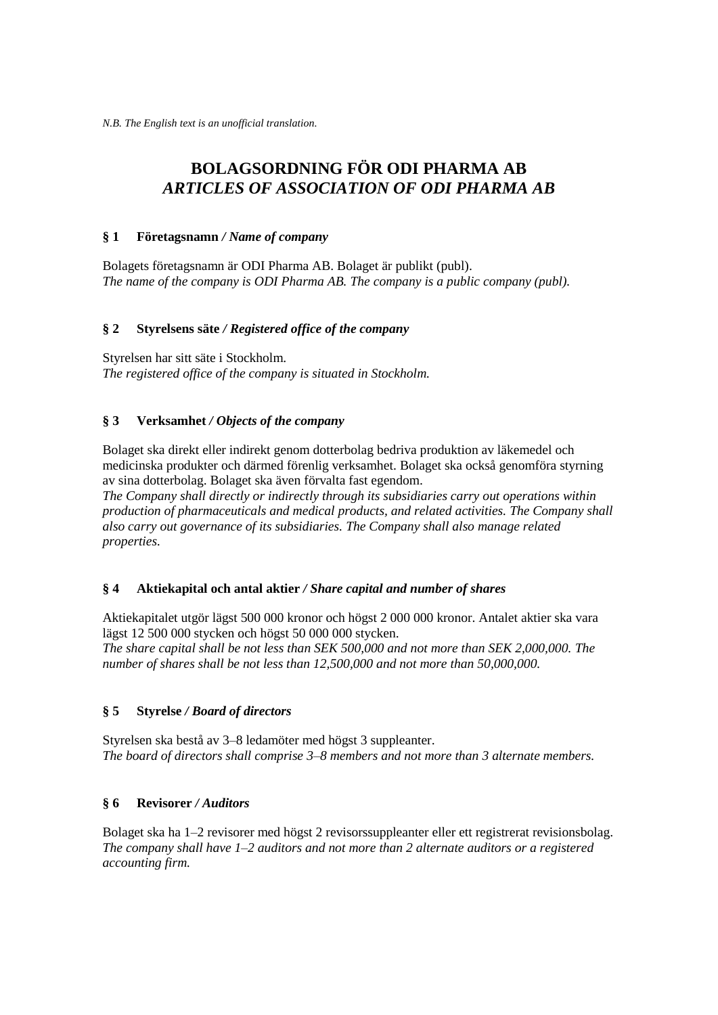# **BOLAGSORDNING FÖR ODI PHARMA AB** *ARTICLES OF ASSOCIATION OF ODI PHARMA AB*

#### **§ 1 Företagsnamn** */ Name of company*

Bolagets företagsnamn är ODI Pharma AB. Bolaget är publikt (publ). *The name of the company is ODI Pharma AB. The company is a public company (publ).* 

## **§ 2 Styrelsens säte** */ Registered office of the company*

Styrelsen har sitt säte i Stockholm. *The registered office of the company is situated in Stockholm.*

## **§ 3 Verksamhet** */ Objects of the company*

Bolaget ska direkt eller indirekt genom dotterbolag bedriva produktion av läkemedel och medicinska produkter och därmed förenlig verksamhet. Bolaget ska också genomföra styrning av sina dotterbolag. Bolaget ska även förvalta fast egendom.

*The Company shall directly or indirectly through its subsidiaries carry out operations within production of pharmaceuticals and medical products, and related activities. The Company shall also carry out governance of its subsidiaries. The Company shall also manage related properties.*

## **§ 4 Aktiekapital och antal aktier** */ Share capital and number of shares*

Aktiekapitalet utgör lägst 500 000 kronor och högst 2 000 000 kronor. Antalet aktier ska vara lägst 12 500 000 stycken och högst 50 000 000 stycken.

*The share capital shall be not less than SEK 500,000 and not more than SEK 2,000,000. The number of shares shall be not less than 12,500,000 and not more than 50,000,000.*

## **§ 5 Styrelse** */ Board of directors*

Styrelsen ska bestå av 3–8 ledamöter med högst 3 suppleanter. *The board of directors shall comprise 3–8 members and not more than 3 alternate members.* 

## **§ 6 Revisorer** */ Auditors*

Bolaget ska ha 1–2 revisorer med högst 2 revisorssuppleanter eller ett registrerat revisionsbolag. *The company shall have 1–2 auditors and not more than 2 alternate auditors or a registered accounting firm.*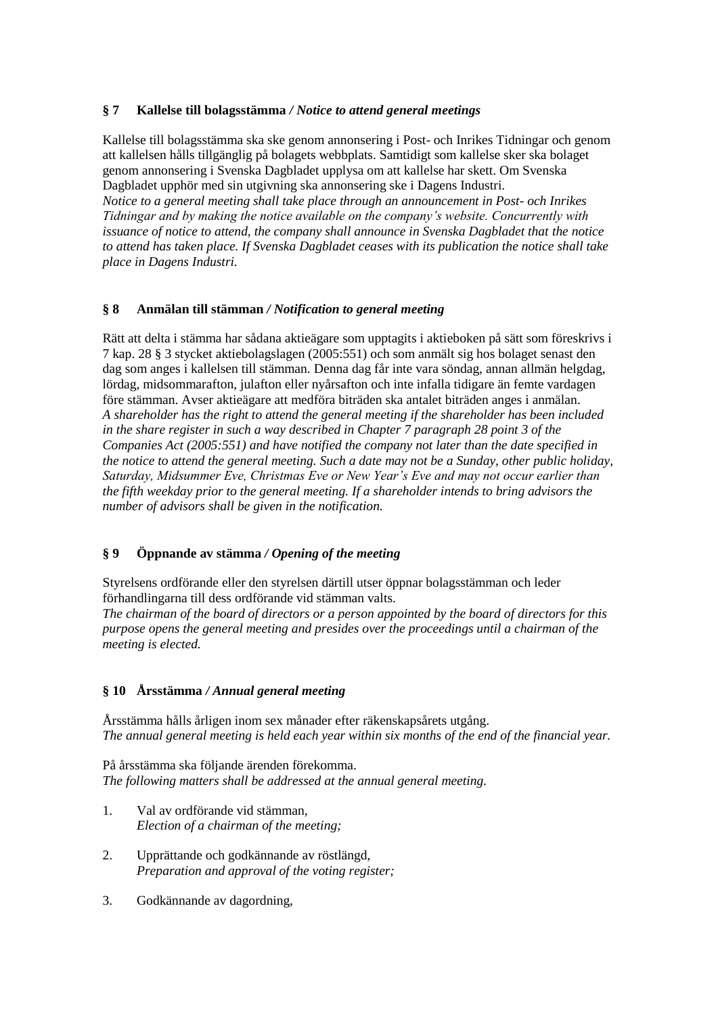## **§ 7 Kallelse till bolagsstämma** */ Notice to attend general meetings*

Kallelse till bolagsstämma ska ske genom annonsering i Post- och Inrikes Tidningar och genom att kallelsen hålls tillgänglig på bolagets webbplats. Samtidigt som kallelse sker ska bolaget genom annonsering i Svenska Dagbladet upplysa om att kallelse har skett. Om Svenska Dagbladet upphör med sin utgivning ska annonsering ske i Dagens Industri. *Notice to a general meeting shall take place through an announcement in Post- och Inrikes Tidningar and by making the notice available on the company's website. Concurrently with issuance of notice to attend, the company shall announce in Svenska Dagbladet that the notice to attend has taken place. If Svenska Dagbladet ceases with its publication the notice shall take place in Dagens Industri.*

## **§ 8 Anmälan till stämman** */ Notification to general meeting*

Rätt att delta i stämma har sådana aktieägare som upptagits i aktieboken på sätt som föreskrivs i 7 kap. 28 § 3 stycket aktiebolagslagen (2005:551) och som anmält sig hos bolaget senast den dag som anges i kallelsen till stämman. Denna dag får inte vara söndag, annan allmän helgdag, lördag, midsommarafton, julafton eller nyårsafton och inte infalla tidigare än femte vardagen före stämman. Avser aktieägare att medföra biträden ska antalet biträden anges i anmälan. *A shareholder has the right to attend the general meeting if the shareholder has been included in the share register in such a way described in Chapter 7 paragraph 28 point 3 of the Companies Act (2005:551) and have notified the company not later than the date specified in the notice to attend the general meeting. Such a date may not be a Sunday, other public holiday, Saturday, Midsummer Eve, Christmas Eve or New Year's Eve and may not occur earlier than the fifth weekday prior to the general meeting. If a shareholder intends to bring advisors the number of advisors shall be given in the notification.*

## **§ 9 Öppnande av stämma** */ Opening of the meeting*

Styrelsens ordförande eller den styrelsen därtill utser öppnar bolagsstämman och leder förhandlingarna till dess ordförande vid stämman valts.

*The chairman of the board of directors or a person appointed by the board of directors for this purpose opens the general meeting and presides over the proceedings until a chairman of the meeting is elected.*

## **§ 10 Årsstämma** */ Annual general meeting*

Årsstämma hålls årligen inom sex månader efter räkenskapsårets utgång. *The annual general meeting is held each year within six months of the end of the financial year.*

På årsstämma ska följande ärenden förekomma. *The following matters shall be addressed at the annual general meeting.*

- 1. Val av ordförande vid stämman, *Election of a chairman of the meeting;*
- 2. Upprättande och godkännande av röstlängd, *Preparation and approval of the voting register;*
- 3. Godkännande av dagordning,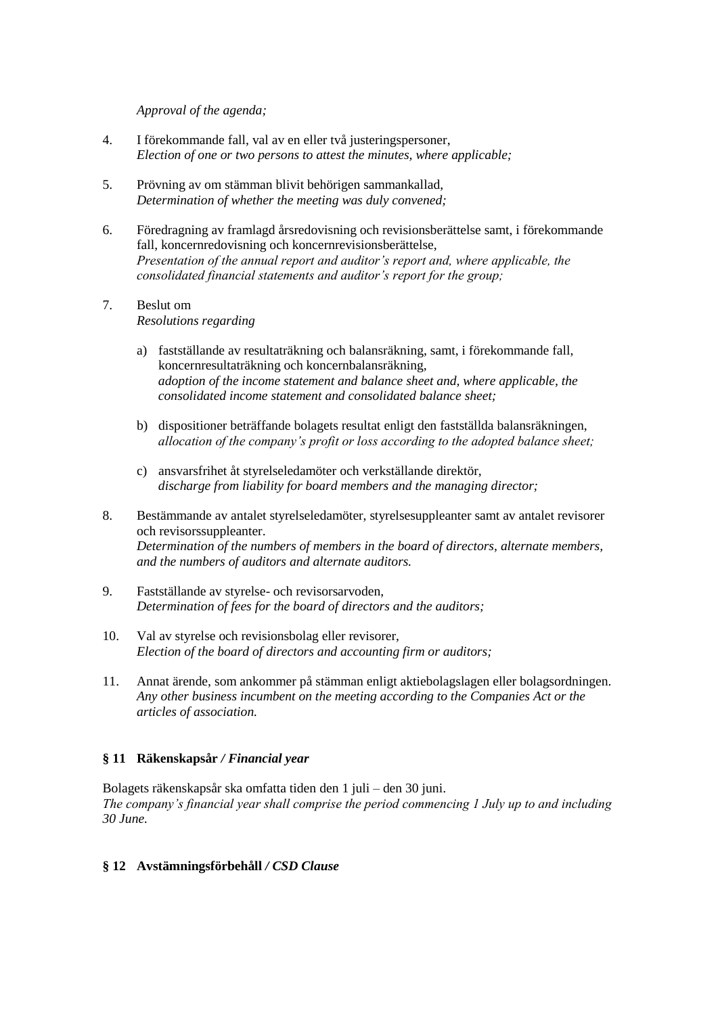*Approval of the agenda;*

- 4. I förekommande fall, val av en eller två justeringspersoner, *Election of one or two persons to attest the minutes, where applicable;*
- 5. Prövning av om stämman blivit behörigen sammankallad, *Determination of whether the meeting was duly convened;*
- 6. Föredragning av framlagd årsredovisning och revisionsberättelse samt, i förekommande fall, koncernredovisning och koncernrevisionsberättelse, *Presentation of the annual report and auditor's report and, where applicable, the consolidated financial statements and auditor's report for the group;*
- 7. Beslut om *Resolutions regarding*
	- a) fastställande av resultaträkning och balansräkning, samt, i förekommande fall, koncernresultaträkning och koncernbalansräkning, *adoption of the income statement and balance sheet and, where applicable, the consolidated income statement and consolidated balance sheet;*
	- b) dispositioner beträffande bolagets resultat enligt den fastställda balansräkningen, *allocation of the company's profit or loss according to the adopted balance sheet;*
	- c) ansvarsfrihet åt styrelseledamöter och verkställande direktör, *discharge from liability for board members and the managing director;*
- 8. Bestämmande av antalet styrelseledamöter, styrelsesuppleanter samt av antalet revisorer och revisorssuppleanter. *Determination of the numbers of members in the board of directors, alternate members, and the numbers of auditors and alternate auditors.*
- 9. Fastställande av styrelse- och revisorsarvoden, *Determination of fees for the board of directors and the auditors;*
- 10. Val av styrelse och revisionsbolag eller revisorer, *Election of the board of directors and accounting firm or auditors;*
- 11. Annat ärende, som ankommer på stämman enligt aktiebolagslagen eller bolagsordningen. *Any other business incumbent on the meeting according to the Companies Act or the articles of association.*

## **§ 11 Räkenskapsår** */ Financial year*

Bolagets räkenskapsår ska omfatta tiden den 1 juli – den 30 juni. *The company's financial year shall comprise the period commencing 1 July up to and including 30 June.*

## **§ 12 Avstämningsförbehåll** */ CSD Clause*